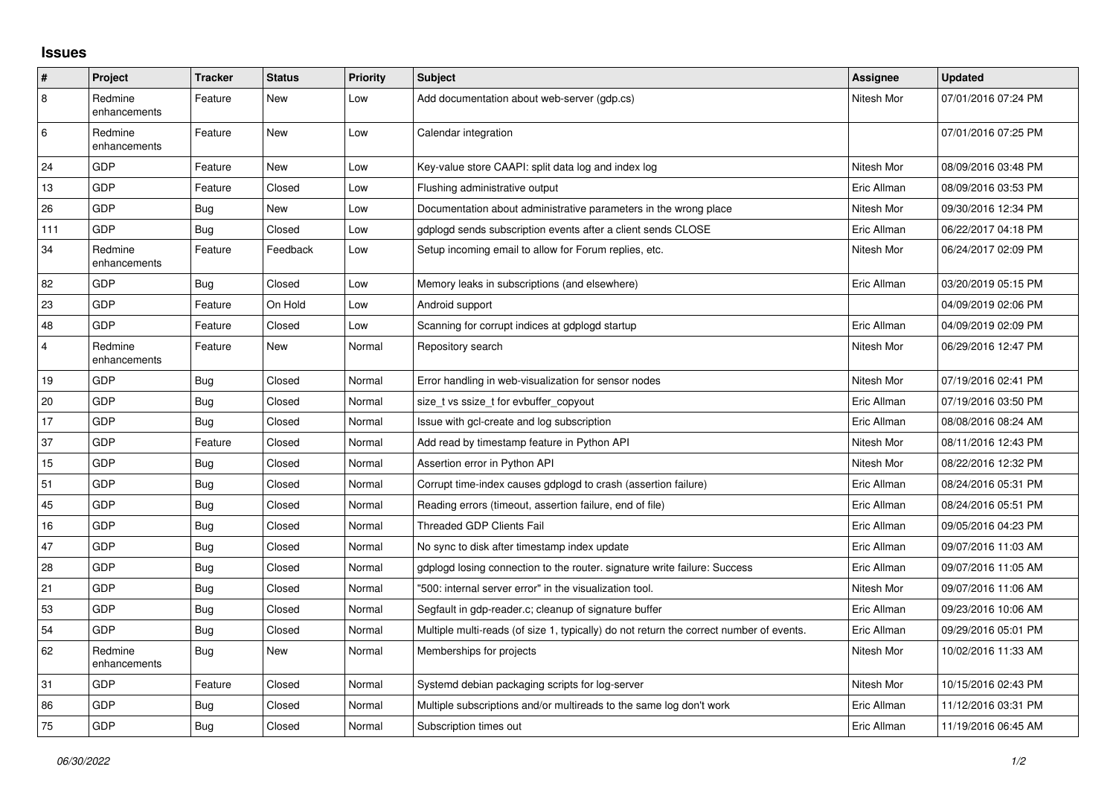## **Issues**

| #              | Project                 | <b>Tracker</b> | <b>Status</b> | <b>Priority</b> | <b>Subject</b>                                                                          | Assignee    | Updated             |
|----------------|-------------------------|----------------|---------------|-----------------|-----------------------------------------------------------------------------------------|-------------|---------------------|
| $\overline{8}$ | Redmine<br>enhancements | Feature        | New           | Low             | Add documentation about web-server (gdp.cs)                                             | Nitesh Mor  | 07/01/2016 07:24 PM |
| 6              | Redmine<br>enhancements | Feature        | New           | Low             | Calendar integration                                                                    |             | 07/01/2016 07:25 PM |
| 24             | GDP                     | Feature        | New           | Low             | Key-value store CAAPI: split data log and index log                                     | Nitesh Mor  | 08/09/2016 03:48 PM |
| 13             | GDP                     | Feature        | Closed        | Low             | Flushing administrative output                                                          | Eric Allman | 08/09/2016 03:53 PM |
| 26             | GDP                     | Bug            | New           | Low             | Documentation about administrative parameters in the wrong place                        | Nitesh Mor  | 09/30/2016 12:34 PM |
| 111            | GDP                     | Bug            | Closed        | Low             | gdplogd sends subscription events after a client sends CLOSE                            | Eric Allman | 06/22/2017 04:18 PM |
| 34             | Redmine<br>enhancements | Feature        | Feedback      | Low             | Setup incoming email to allow for Forum replies, etc.                                   | Nitesh Mor  | 06/24/2017 02:09 PM |
| 82             | <b>GDP</b>              | Bug            | Closed        | Low             | Memory leaks in subscriptions (and elsewhere)                                           | Eric Allman | 03/20/2019 05:15 PM |
| 23             | GDP                     | Feature        | On Hold       | Low             | Android support                                                                         |             | 04/09/2019 02:06 PM |
| 48             | GDP                     | Feature        | Closed        | Low             | Scanning for corrupt indices at gdplogd startup                                         | Eric Allman | 04/09/2019 02:09 PM |
| $\overline{4}$ | Redmine<br>enhancements | Feature        | New           | Normal          | Repository search                                                                       | Nitesh Mor  | 06/29/2016 12:47 PM |
| 19             | GDP                     | <b>Bug</b>     | Closed        | Normal          | Error handling in web-visualization for sensor nodes                                    | Nitesh Mor  | 07/19/2016 02:41 PM |
| 20             | GDP                     | Bug            | Closed        | Normal          | size t vs ssize t for evbuffer copyout                                                  | Eric Allman | 07/19/2016 03:50 PM |
| 17             | GDP                     | <b>Bug</b>     | Closed        | Normal          | Issue with gcl-create and log subscription                                              | Eric Allman | 08/08/2016 08:24 AM |
| 37             | GDP                     | Feature        | Closed        | Normal          | Add read by timestamp feature in Python API                                             | Nitesh Mor  | 08/11/2016 12:43 PM |
| 15             | GDP                     | Bug            | Closed        | Normal          | Assertion error in Python API                                                           | Nitesh Mor  | 08/22/2016 12:32 PM |
| 51             | GDP                     | Bug            | Closed        | Normal          | Corrupt time-index causes gdplogd to crash (assertion failure)                          | Eric Allman | 08/24/2016 05:31 PM |
| 45             | GDP                     | Bug            | Closed        | Normal          | Reading errors (timeout, assertion failure, end of file)                                | Eric Allman | 08/24/2016 05:51 PM |
| 16             | GDP                     | Bug            | Closed        | Normal          | Threaded GDP Clients Fail                                                               | Eric Allman | 09/05/2016 04:23 PM |
| 47             | GDP                     | Bug            | Closed        | Normal          | No sync to disk after timestamp index update                                            | Eric Allman | 09/07/2016 11:03 AM |
| 28             | GDP                     | <b>Bug</b>     | Closed        | Normal          | gdplogd losing connection to the router. signature write failure: Success               | Eric Allman | 09/07/2016 11:05 AM |
| 21             | GDP                     | <b>Bug</b>     | Closed        | Normal          | '500: internal server error" in the visualization tool.                                 | Nitesh Mor  | 09/07/2016 11:06 AM |
| 53             | GDP                     | Bug            | Closed        | Normal          | Segfault in gdp-reader.c; cleanup of signature buffer                                   | Eric Allman | 09/23/2016 10:06 AM |
| 54             | GDP                     | Bug            | Closed        | Normal          | Multiple multi-reads (of size 1, typically) do not return the correct number of events. | Eric Allman | 09/29/2016 05:01 PM |
| 62             | Redmine<br>enhancements | Bug            | New           | Normal          | Memberships for projects                                                                | Nitesh Mor  | 10/02/2016 11:33 AM |
| 31             | GDP                     | Feature        | Closed        | Normal          | Systemd debian packaging scripts for log-server                                         | Nitesh Mor  | 10/15/2016 02:43 PM |
| 86             | GDP                     | Bug            | Closed        | Normal          | Multiple subscriptions and/or multireads to the same log don't work                     | Eric Allman | 11/12/2016 03:31 PM |
| 75             | GDP                     | Bug            | Closed        | Normal          | Subscription times out                                                                  | Eric Allman | 11/19/2016 06:45 AM |